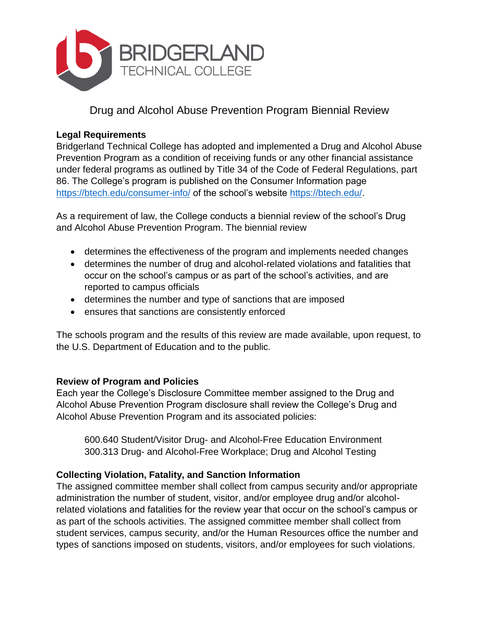

Drug and Alcohol Abuse Prevention Program Biennial Review

## **Legal Requirements**

Bridgerland Technical College has adopted and implemented a Drug and Alcohol Abuse Prevention Program as a condition of receiving funds or any other financial assistance under federal programs as outlined by Title 34 of the Code of Federal Regulations, part 86. The College's program is published on the Consumer Information page <https://btech.edu/consumer-info/> of the school's website [https://btech.edu/.](https://btech.edu/)

As a requirement of law, the College conducts a biennial review of the school's Drug and Alcohol Abuse Prevention Program. The biennial review

- determines the effectiveness of the program and implements needed changes
- determines the number of drug and alcohol-related violations and fatalities that occur on the school's campus or as part of the school's activities, and are reported to campus officials
- determines the number and type of sanctions that are imposed
- ensures that sanctions are consistently enforced

The schools program and the results of this review are made available, upon request, to the U.S. Department of Education and to the public.

## **Review of Program and Policies**

Each year the College's Disclosure Committee member assigned to the Drug and Alcohol Abuse Prevention Program disclosure shall review the College's Drug and Alcohol Abuse Prevention Program and its associated policies:

600.640 Student/Visitor Drug- and Alcohol-Free Education Environment 300.313 Drug- and Alcohol-Free Workplace; Drug and Alcohol Testing

## **Collecting Violation, Fatality, and Sanction Information**

The assigned committee member shall collect from campus security and/or appropriate administration the number of student, visitor, and/or employee drug and/or alcoholrelated violations and fatalities for the review year that occur on the school's campus or as part of the schools activities. The assigned committee member shall collect from student services, campus security, and/or the Human Resources office the number and types of sanctions imposed on students, visitors, and/or employees for such violations.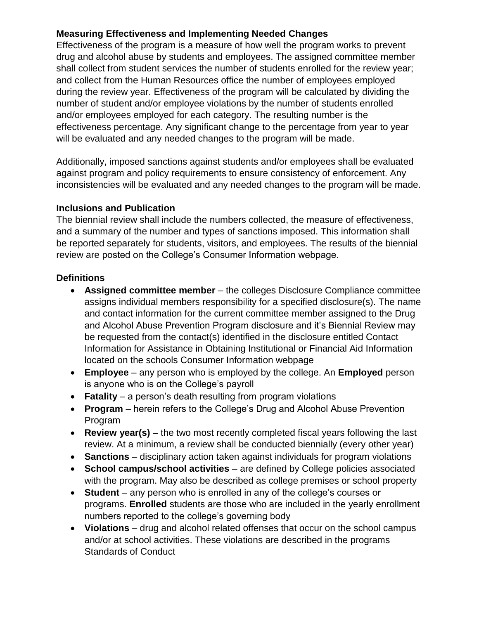## **Measuring Effectiveness and Implementing Needed Changes**

Effectiveness of the program is a measure of how well the program works to prevent drug and alcohol abuse by students and employees. The assigned committee member shall collect from student services the number of students enrolled for the review year; and collect from the Human Resources office the number of employees employed during the review year. Effectiveness of the program will be calculated by dividing the number of student and/or employee violations by the number of students enrolled and/or employees employed for each category. The resulting number is the effectiveness percentage. Any significant change to the percentage from year to year will be evaluated and any needed changes to the program will be made.

Additionally, imposed sanctions against students and/or employees shall be evaluated against program and policy requirements to ensure consistency of enforcement. Any inconsistencies will be evaluated and any needed changes to the program will be made.

## **Inclusions and Publication**

The biennial review shall include the numbers collected, the measure of effectiveness, and a summary of the number and types of sanctions imposed. This information shall be reported separately for students, visitors, and employees. The results of the biennial review are posted on the College's Consumer Information webpage.

## **Definitions**

- **Assigned committee member** the colleges Disclosure Compliance committee assigns individual members responsibility for a specified disclosure(s). The name and contact information for the current committee member assigned to the Drug and Alcohol Abuse Prevention Program disclosure and it's Biennial Review may be requested from the contact(s) identified in the disclosure entitled Contact Information for Assistance in Obtaining Institutional or Financial Aid Information located on the schools Consumer Information webpage
- **Employee** any person who is employed by the college. An **Employed** person is anyone who is on the College's payroll
- **Fatality** a person's death resulting from program violations
- **Program** herein refers to the College's Drug and Alcohol Abuse Prevention Program
- **Review year(s)** the two most recently completed fiscal years following the last review. At a minimum, a review shall be conducted biennially (every other year)
- **Sanctions** disciplinary action taken against individuals for program violations
- **School campus/school activities** are defined by College policies associated with the program. May also be described as college premises or school property
- **Student** any person who is enrolled in any of the college's courses or programs. **Enrolled** students are those who are included in the yearly enrollment numbers reported to the college's governing body
- **Violations** drug and alcohol related offenses that occur on the school campus and/or at school activities. These violations are described in the programs Standards of Conduct